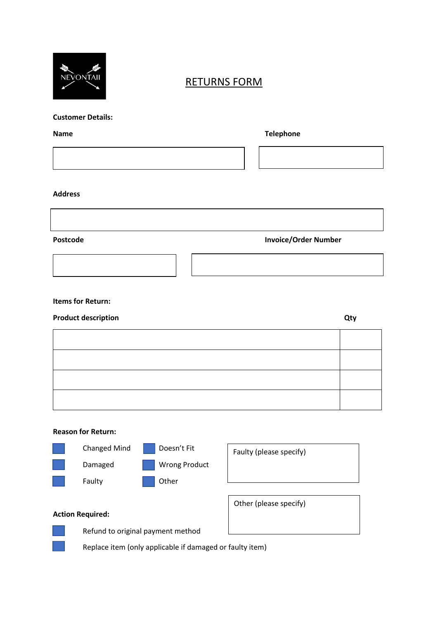

### RETURNS FORM

#### **Customer Details:**

## **Name Telephone**

#### **Address**

#### **Postcode Invoice/Order Number**

#### **Items for Return:**

# **Product description Qty**

#### **Reason for Return:**



Faulty (please specify)

Other (please specify)



Refund to original payment method

Replace item (only applicable if damaged or faulty item)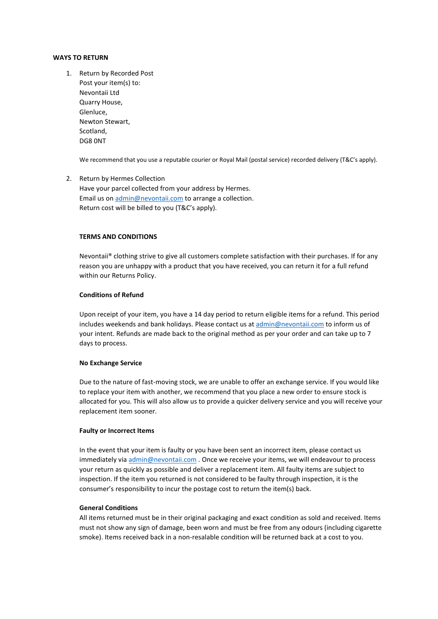#### **WAYS TO RETURN**

1. Return by Recorded Post Post your item(s) to: Nevontaii Ltd Quarry House, Glenluce, Newton Stewart, Scotland, DG8 0NT

We recommend that you use a reputable courier or Royal Mail (postal service) recorded delivery (T&C's apply).

#### 2. Return by Hermes Collection Have your parcel collected from your address by Hermes. Email us o[n admin@nevontaii.com](mailto:admin@nevontaii.com) to arrange a collection. Return cost will be billed to you (T&C's apply).

#### **TERMS AND CONDITIONS**

Nevontaii® clothing strive to give all customers complete satisfaction with their purchases. If for any reason you are unhappy with a product that you have received, you can return it for a full refund within our Returns Policy.

#### **Conditions of Refund**

Upon receipt of your item, you have a 14 day period to return eligible items for a refund. This period includes weekends and bank holidays. Please contact us at [admin@nevontaii.com](mailto:admin@nevontaii.com) to inform us of your intent. Refunds are made back to the original method as per your order and can take up to 7 days to process.

#### **No Exchange Service**

Due to the nature of fast-moving stock, we are unable to offer an exchange service. If you would like to replace your item with another, we recommend that you place a new order to ensure stock is allocated for you. This will also allow us to provide a quicker delivery service and you will receive your replacement item sooner.

#### **Faulty or Incorrect Items**

In the event that your item is faulty or you have been sent an incorrect item, please contact us immediately via [admin@nevontaii.com](mailto:admin@nevontaii.com) . Once we receive your items, we will endeavour to process your return as quickly as possible and deliver a replacement item. All faulty items are subject to inspection. If the item you returned is not considered to be faulty through inspection, it is the consumer's responsibility to incur the postage cost to return the item(s) back.

#### **General Conditions**

All items returned must be in their original packaging and exact condition as sold and received. Items must not show any sign of damage, been worn and must be free from any odours (including cigarette smoke). Items received back in a non-resalable condition will be returned back at a cost to you.